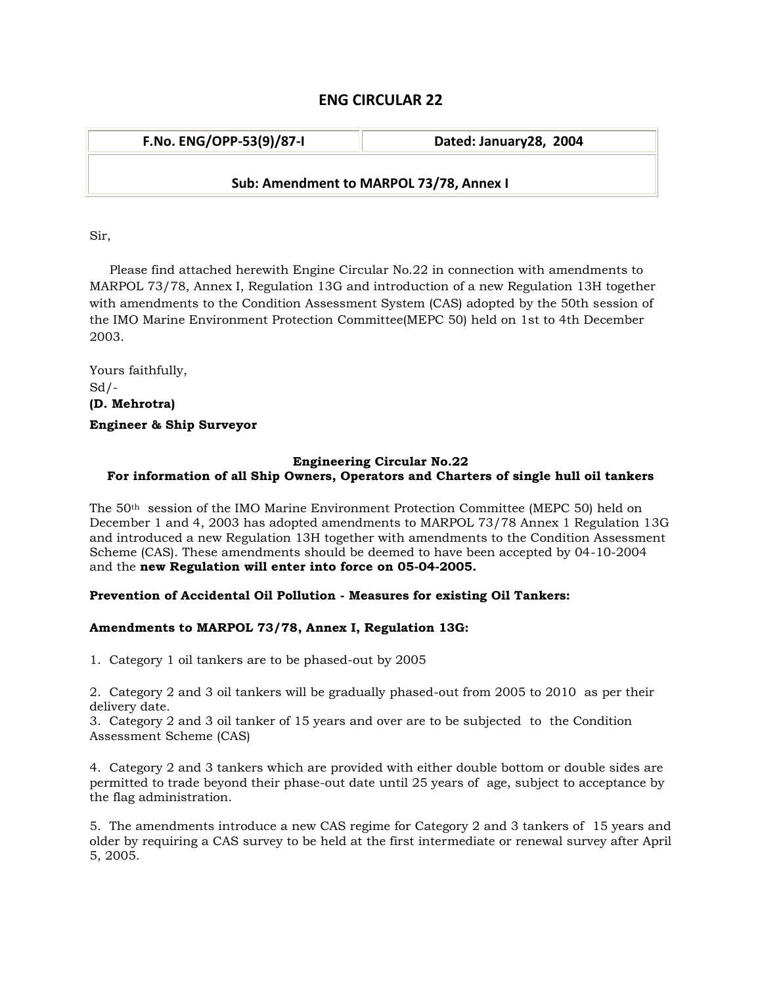# **ENG CIRCULAR 22**

| Dated: January28, 2004                  |
|-----------------------------------------|
| Sub: Amendment to MARPOL 73/78, Annex I |
|                                         |

Sir,

 Please find attached herewith Engine Circular No.22 in connection with amendments to MARPOL 73/78, Annex I, Regulation 13G and introduction of a new Regulation 13H together with amendments to the Condition Assessment System (CAS) adopted by the 50th session of the IMO Marine Environment Protection Committee(MEPC 50) held on 1st to 4th December 2003.

Yours faithfully,  $Sd$  /-**(D. Mehrotra) Engineer & Ship Surveyor**

## **Engineering Circular No.22 For information of all Ship Owners, Operators and Charters of single hull oil tankers**

The 50th session of the IMO Marine Environment Protection Committee (MEPC 50) held on December 1 and 4, 2003 has adopted amendments to MARPOL 73/78 Annex 1 Regulation 13G and introduced a new Regulation 13H together with amendments to the Condition Assessment Scheme (CAS). These amendments should be deemed to have been accepted by 04-10-2004 and the **new Regulation will enter into force on 05-04-2005.**

## **Prevention of Accidental Oil Pollution - Measures for existing Oil Tankers:**

## **Amendments to MARPOL 73/78, Annex I, Regulation 13G:**

1. Category 1 oil tankers are to be phased-out by 2005

2. Category 2 and 3 oil tankers will be gradually phased-out from 2005 to 2010 as per their delivery date.

3. Category 2 and 3 oil tanker of 15 years and over are to be subjected to the Condition Assessment Scheme (CAS)

4. Category 2 and 3 tankers which are provided with either double bottom or double sides are permitted to trade beyond their phase-out date until 25 years of age, subject to acceptance by the flag administration.

5. The amendments introduce a new CAS regime for Category 2 and 3 tankers of 15 years and older by requiring a CAS survey to be held at the first intermediate or renewal survey after April 5, 2005.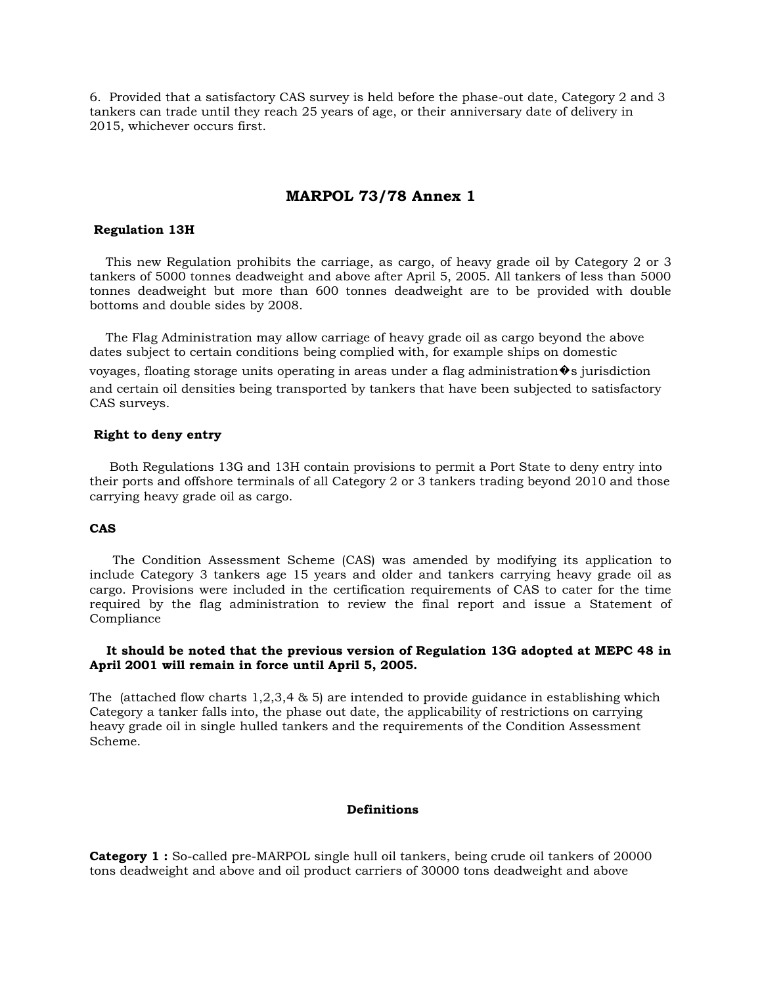6. Provided that a satisfactory CAS survey is held before the phase-out date, Category 2 and 3 tankers can trade until they reach 25 years of age, or their anniversary date of delivery in 2015, whichever occurs first.

## **MARPOL 73/78 Annex 1**

#### **Regulation 13H**

 This new Regulation prohibits the carriage, as cargo, of heavy grade oil by Category 2 or 3 tankers of 5000 tonnes deadweight and above after April 5, 2005. All tankers of less than 5000 tonnes deadweight but more than 600 tonnes deadweight are to be provided with double bottoms and double sides by 2008.

 The Flag Administration may allow carriage of heavy grade oil as cargo beyond the above dates subject to certain conditions being complied with, for example ships on domestic voyages, floating storage units operating in areas under a flag administration  $\hat{\mathbf{\Phi}}$  is jurisdiction and certain oil densities being transported by tankers that have been subjected to satisfactory CAS surveys.

#### **Right to deny entry**

 Both Regulations 13G and 13H contain provisions to permit a Port State to deny entry into their ports and offshore terminals of all Category 2 or 3 tankers trading beyond 2010 and those carrying heavy grade oil as cargo.

### **CAS**

 The Condition Assessment Scheme (CAS) was amended by modifying its application to include Category 3 tankers age 15 years and older and tankers carrying heavy grade oil as cargo. Provisions were included in the certification requirements of CAS to cater for the time required by the flag administration to review the final report and issue a Statement of Compliance

### **It should be noted that the previous version of Regulation 13G adopted at MEPC 48 in April 2001 will remain in force until April 5, 2005.**

The (attached flow charts  $1,2,3,4 \& 5$ ) are intended to provide guidance in establishing which Category a tanker falls into, the phase out date, the applicability of restrictions on carrying heavy grade oil in single hulled tankers and the requirements of the Condition Assessment Scheme.

### **Definitions**

**Category 1 :** So-called pre-MARPOL single hull oil tankers, being crude oil tankers of 20000 tons deadweight and above and oil product carriers of 30000 tons deadweight and above